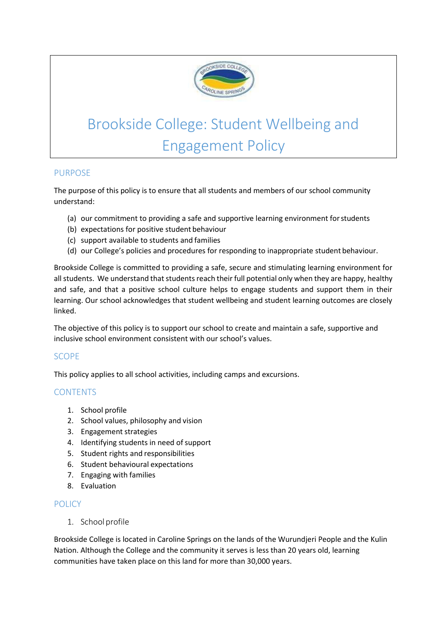

# Brookside College: Student Wellbeing and Engagement Policy

# PURPOSE

The purpose of this policy is to ensure that all students and members of our school community understand:

- (a) our commitment to providing a safe and supportive learning environment forstudents
- (b) expectations for positive student behaviour
- (c) support available to students and families
- (d) our College's policies and procedures for responding to inappropriate student behaviour.

Brookside College is committed to providing a safe, secure and stimulating learning environment for all students. We understand that students reach their full potential only when they are happy, healthy and safe, and that a positive school culture helps to engage students and support them in their learning. Our school acknowledges that student wellbeing and student learning outcomes are closely linked.

The objective of this policy is to support our school to create and maintain a safe, supportive and inclusive school environment consistent with our school's values.

# **SCOPE**

This policy applies to all school activities, including camps and excursions.

# **CONTENTS**

- 1. School profile
- 2. School values, philosophy and vision
- 3. Engagement strategies
- 4. Identifying students in need of support
- 5. Student rights and responsibilities
- 6. Student behavioural expectations
- 7. Engaging with families
- 8. Evaluation

# POLICY

1. Schoolprofile

Brookside College is located in Caroline Springs on the lands of the Wurundjeri People and the Kulin Nation. Although the College and the community it serves is less than 20 years old, learning communities have taken place on this land for more than 30,000 years.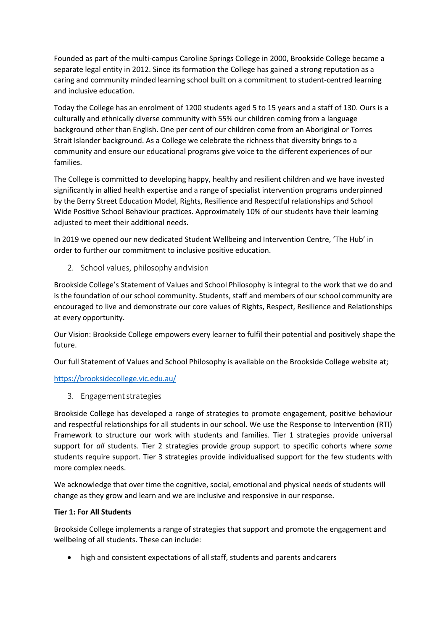Founded as part of the multi-campus Caroline Springs College in 2000, Brookside College became a separate legal entity in 2012. Since its formation the College has gained a strong reputation as a caring and community minded learning school built on a commitment to student-centred learning and inclusive education.

Today the College has an enrolment of 1200 students aged 5 to 15 years and a staff of 130. Ours is a culturally and ethnically diverse community with 55% our children coming from a language background other than English. One per cent of our children come from an Aboriginal or Torres Strait Islander background. As a College we celebrate the richness that diversity brings to a community and ensure our educational programs give voice to the different experiences of our families.

The College is committed to developing happy, healthy and resilient children and we have invested significantly in allied health expertise and a range of specialist intervention programs underpinned by the Berry Street Education Model, Rights, Resilience and Respectful relationships and School Wide Positive School Behaviour practices. Approximately 10% of our students have their learning adjusted to meet their additional needs.

In 2019 we opened our new dedicated Student Wellbeing and Intervention Centre, 'The Hub' in order to further our commitment to inclusive positive education.

2. School values, philosophy andvision

Brookside College's Statement of Values and School Philosophy is integral to the work that we do and is the foundation of our school community. Students, staff and members of our school community are encouraged to live and demonstrate our core values of Rights, Respect, Resilience and Relationships at every opportunity.

Our Vision: Brookside College empowers every learner to fulfil their potential and positively shape the future.

Our full Statement of Values and School Philosophy is available on the Brookside College website at;

<https://brooksidecollege.vic.edu.au/>

3. Engagementstrategies

Brookside College has developed a range of strategies to promote engagement, positive behaviour and respectful relationships for all students in our school. We use the Response to Intervention (RTI) Framework to structure our work with students and families. Tier 1 strategies provide universal support for *all* students. Tier 2 strategies provide group support to specific cohorts where *some*  students require support. Tier 3 strategies provide individualised support for the few students with more complex needs.

We acknowledge that over time the cognitive, social, emotional and physical needs of students will change as they grow and learn and we are inclusive and responsive in our response.

#### **Tier 1: For All Students**

Brookside College implements a range of strategies that support and promote the engagement and wellbeing of all students. These can include:

high and consistent expectations of all staff, students and parents andcarers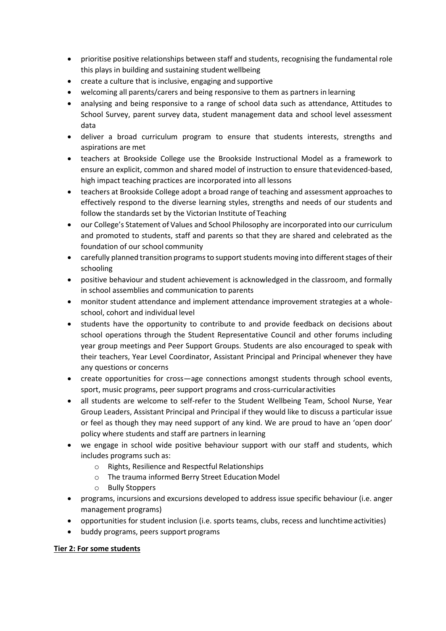- prioritise positive relationships between staff and students, recognising the fundamental role this plays in building and sustaining student wellbeing
- create a culture that is inclusive, engaging and supportive
- welcoming all parents/carers and being responsive to them as partners in learning
- analysing and being responsive to a range of school data such as attendance, Attitudes to School Survey, parent survey data, student management data and school level assessment data
- deliver a broad curriculum program to ensure that students interests, strengths and aspirations are met
- teachers at Brookside College use the Brookside Instructional Model as a framework to ensure an explicit, common and shared model of instruction to ensure thatevidenced-based, high impact teaching practices are incorporated into all lessons
- teachers at Brookside College adopt a broad range of teaching and assessment approaches to effectively respond to the diverse learning styles, strengths and needs of our students and follow the standards set by the Victorian Institute of Teaching
- our College's Statement of Values and School Philosophy are incorporated into our curriculum and promoted to students, staff and parents so that they are shared and celebrated as the foundation of our school community
- carefully planned transition programs to support students moving into different stages of their schooling
- positive behaviour and student achievement is acknowledged in the classroom, and formally in school assemblies and communication to parents
- monitor student attendance and implement attendance improvement strategies at a wholeschool, cohort and individual level
- students have the opportunity to contribute to and provide feedback on decisions about school operations through the Student Representative Council and other forums including year group meetings and Peer Support Groups. Students are also encouraged to speak with their teachers, Year Level Coordinator, Assistant Principal and Principal whenever they have any questions or concerns
- create opportunities for cross—age connections amongst students through school events, sport, music programs, peer support programs and cross-curricularactivities
- all students are welcome to self-refer to the Student Wellbeing Team, School Nurse, Year Group Leaders, Assistant Principal and Principal if they would like to discuss a particular issue or feel as though they may need support of any kind. We are proud to have an 'open door' policy where students and staff are partners in learning
- we engage in school wide positive behaviour support with our staff and students, which includes programs such as:
	- o Rights, Resilience and Respectful Relationships
	- o The trauma informed Berry Street EducationModel
	- o Bully Stoppers
- programs, incursions and excursions developed to address issue specific behaviour (i.e. anger management programs)
- opportunities for student inclusion (i.e. sports teams, clubs, recess and lunchtime activities)
- buddy programs, peers support programs

#### **Tier 2: For some students**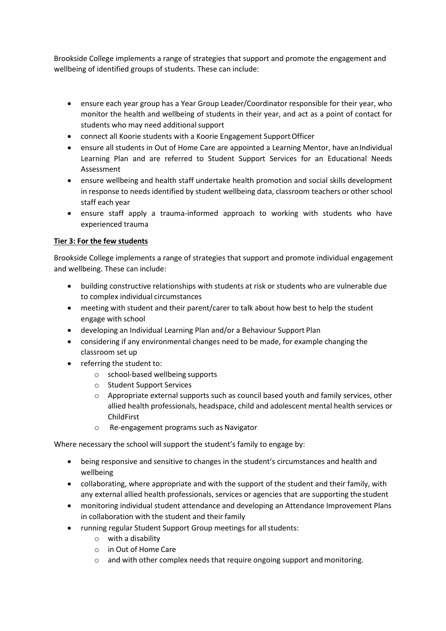Brookside College implements a range of strategies that support and promote the engagement and wellbeing of identified groups of students. These can include:

- ensure each year group has a Year Group Leader/Coordinator responsible for their year, who monitor the health and wellbeing of students in their year, and act as a point of contact for students who may need additional support
- connect all Koorie students with a Koorie Engagement SupportOfficer
- ensure all students in Out of Home Care are appointed a Learning Mentor, have anIndividual Learning Plan and are referred to Student Support Services for an Educational Needs Assessment
- ensure wellbeing and health staff undertake health promotion and social skills development in response to needs identified by student wellbeing data, classroom teachers or other school staff each year
- ensure staff apply a trauma-informed approach to working with students who have experienced trauma

# **Tier 3: For the few students**

Brookside College implements a range of strategies that support and promote individual engagement and wellbeing. These can include:

- building constructive relationships with students at risk or students who are vulnerable due to complex individual circumstances
- meeting with student and their parent/carer to talk about how best to help the student engage with school
- developing an Individual Learning Plan and/or a Behaviour Support Plan
- considering if any environmental changes need to be made, for example changing the classroom set up
- referring the student to:
	- o school-based wellbeing supports
	- o Student Support Services
	- o Appropriate external supports such as council based youth and family services, other allied health professionals, headspace, child and adolescent mental health services or ChildFirst
	- o Re-engagement programs such as Navigator

Where necessary the school will support the student's family to engage by:

- being responsive and sensitive to changes in the student's circumstances and health and wellbeing
- collaborating, where appropriate and with the support of the student and their family, with any external allied health professionals, services or agencies that are supporting the student
- monitoring individual student attendance and developing an Attendance Improvement Plans in collaboration with the student and their family
- running regular Student Support Group meetings for all students:
	- o with a disability
	- o in Out of Home Care
	- $\circ$  and with other complex needs that require ongoing support and monitoring.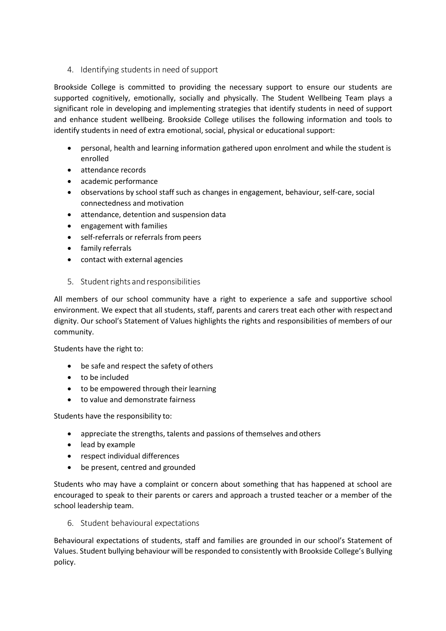4. Identifying students in need ofsupport

Brookside College is committed to providing the necessary support to ensure our students are supported cognitively, emotionally, socially and physically. The Student Wellbeing Team plays a significant role in developing and implementing strategies that identify students in need of support and enhance student wellbeing. Brookside College utilises the following information and tools to identify students in need of extra emotional, social, physical or educational support:

- personal, health and learning information gathered upon enrolment and while the student is enrolled
- attendance records
- academic performance
- observations by school staff such as changes in engagement, behaviour, self-care, social connectedness and motivation
- attendance, detention and suspension data
- engagement with families
- self-referrals or referrals from peers
- family referrals
- contact with external agencies
- 5. Student rights and responsibilities

All members of our school community have a right to experience a safe and supportive school environment. We expect that all students, staff, parents and carers treat each other with respectand dignity. Our school's Statement of Values highlights the rights and responsibilities of members of our community.

Students have the right to:

- be safe and respect the safety of others
- to be included
- to be empowered through their learning
- to value and demonstrate fairness

Students have the responsibility to:

- appreciate the strengths, talents and passions of themselves and others
- lead by example
- respect individual differences
- be present, centred and grounded

Students who may have a complaint or concern about something that has happened at school are encouraged to speak to their parents or carers and approach a trusted teacher or a member of the school leadership team.

6. Student behavioural expectations

Behavioural expectations of students, staff and families are grounded in our school's Statement of Values. Student bullying behaviour will be responded to consistently with Brookside College's Bullying policy.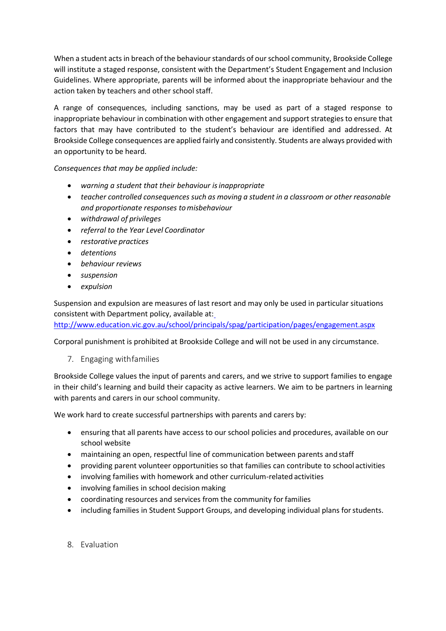When a student acts in breach of the behaviour standards of our school community, Brookside College will institute a staged response, consistent with the Department's Student Engagement and Inclusion Guidelines. Where appropriate, parents will be informed about the inappropriate behaviour and the action taken by teachers and other school staff.

A range of consequences, including sanctions, may be used as part of a staged response to inappropriate behaviour in combination with other engagement and support strategies to ensure that factors that may have contributed to the student's behaviour are identified and addressed. At Brookside College consequences are applied fairly and consistently. Students are always provided with an opportunity to be heard.

*Consequences that may be applied include:*

- *warning a student that their behaviour isinappropriate*
- *teacher controlled consequences such as moving a student in a classroom or other reasonable and proportionate responses tomisbehaviour*
- *withdrawal of privileges*
- *referral to the Year Level Coordinator*
- *restorative practices*
- *detentions*
- *behaviour reviews*
- *suspension*
- *expulsion*

Suspension and expulsion are measures of last resort and may only be used in particular situations consistent with Department policy, available at[:](http://www.education.vic.gov.au/school/principals/spag/participation/pages/engagement.aspx)

<http://www.education.vic.gov.au/school/principals/spag/participation/pages/engagement.aspx>

Corporal punishment is prohibited at Brookside College and will not be used in any circumstance.

7. Engaging withfamilies

Brookside College values the input of parents and carers, and we strive to support families to engage in their child's learning and build their capacity as active learners. We aim to be partners in learning with parents and carers in our school community.

We work hard to create successful partnerships with parents and carers by:

- ensuring that all parents have access to our school policies and procedures, available on our school website
- maintaining an open, respectful line of communication between parents and staff
- providing parent volunteer opportunities so that families can contribute to school activities
- involving families with homework and other curriculum-related activities
- involving families in school decision making
- coordinating resources and services from the community for families
- including families in Student Support Groups, and developing individual plans forstudents.
- 8. Evaluation